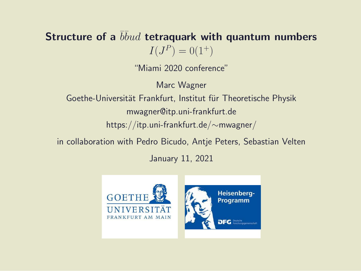#### Structure of a  $b\bar b u d$  tetraquark with quantum numbers  $I(J^P) = 0(1^+)$

"Miami 2020 conference"

Marc Wagner

Goethe-Universität Frankfurt, Institut für Theoretische Physik mwagner@itp.uni-frankfurt.de https://itp.uni-frankfurt.de/∼mwagner/

in collaboration with Pedro Bicudo, Antje Peters, Sebastian Velten

January 11, 2021

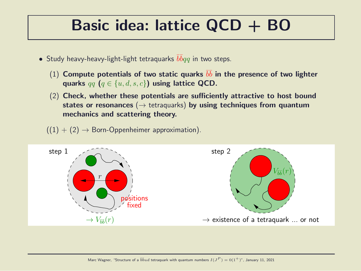#### Basic idea: lattice QCD + BO

- $\bullet$  Study heavy-heavy-light-light tetraquarks  $\bar{b}\bar{b}qq$  in two steps.
	- (1) Compute potentials of two static quarks  $b\bar{b}$  in the presence of two lighter quarks  $qq$   $(q \in \{u, d, s, c\})$  using lattice QCD.
	- (2) Check, whether these potentials are sufficiently attractive to host bound states or resonances ( $\rightarrow$  tetraquarks) by using techniques from quantum mechanics and scattering theory.
	- $((1) + (2) \rightarrow$  Born-Oppenheimer approximation).

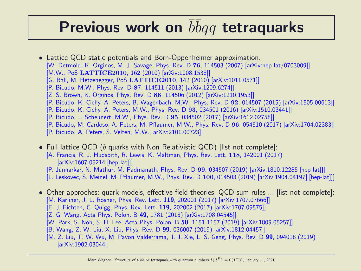### Previous work on  $\overline{b} \overline{b} q q$  tetraquarks

- Lattice QCD static potentials and Born-Oppenheimer approximation. [W. Detmold, K. Orginos, M. J. Savage, Phys. Rev. D 76, 114503 (2007) [arXiv:hep-lat/0703009]] [M.W., PoS LATTICE2010, 162 (2010) [arXiv:1008.1538]] [G. Bali, M. Hetzenegger, PoS LATTICE2010, 142 (2010) [arXiv:1011.0571]] [P. Bicudo, M.W., Phys. Rev. D 87, 114511 (2013) [arXiv:1209.6274]] [Z. S. Brown, K. Orginos, Phys. Rev. D 86, 114506 (2012) [arXiv:1210.1953]] [P. Bicudo, K. Cichy, A. Peters, B. Wagenbach, M.W., Phys. Rev. D 92, 014507 (2015) [arXiv:1505.00613]] [P. Bicudo, K. Cichy, A. Peters, M.W., Phys. Rev. D 93, 034501 (2016) [arXiv:1510.03441]] [P. Bicudo, J. Scheunert, M.W., Phys. Rev. D 95, 034502 (2017) [arXiv:1612.02758]]
	- [P. Bicudo, M. Cardoso, A. Peters, M. Pflaumer, M.W., Phys. Rev. D 96, 054510 (2017) [arXiv:1704.02383]]
	- [P. Bicudo, A. Peters, S. Velten, M.W., arXiv:2101.00723]
- Full lattice QCD (b quarks with Non Relativistic QCD) [list not complete]: [A. Francis, R. J. Hudspith, R. Lewis, K. Maltman, Phys. Rev. Lett. 118, 142001 (2017) [arXiv:1607.05214 [hep-lat]]]
	- [P. Junnarkar, N. Mathur, M. Padmanath, Phys. Rev. D 99, 034507 (2019) [arXiv:1810.12285 [hep-lat]]]
	- [L. Leskovec, S. Meinel, M. Pflaumer, M.W., Phys. Rev. D 100, 014503 (2019) [arXiv:1904.04197] [hep-lat]]]
- Other approches: quark models, effective field theories, QCD sum rules ... [list not complete]: [M. Karliner, J. L. Rosner, Phys. Rev. Lett. 119, 202001 (2017) [arXiv:1707.07666]]
	- [E. J. Eichten, C. Quigg, Phys. Rev. Lett. 119, 202002 (2017) [arXiv:1707.09575]]
	- [Z. G. Wang, Acta Phys. Polon. B 49, 1781 (2018) [arXiv:1708.04545]]
	- [W. Park, S. Noh, S. H. Lee, Acta Phys. Polon. B 50, 1151-1157 (2019) [arXiv:1809.05257]]
	- [B. Wang, Z. W. Liu, X. Liu, Phys. Rev. D 99, 036007 (2019) [arXiv:1812.04457]]
	- [M. Z. Liu, T. W. Wu, M. Pavon Valderrama, J. J. Xie, L. S. Geng, Phys. Rev. D 99, 094018 (2019) [arXiv:1902.03044]]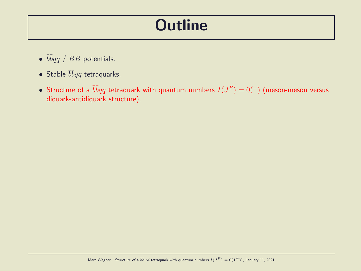#### **Outline**

- $\bullet$   $\bar{b}\bar{b}qq$  /  $BB$  potentials.
- Stable  $\bar{b} \bar{b} q q$  tetraquarks.
- Structure of a  $\overline{b}\overline{b} qq$  tetraquark with quantum numbers  $I(J^P)=0(^\perp)$  (meson-meson versus diquark-antidiquark structure).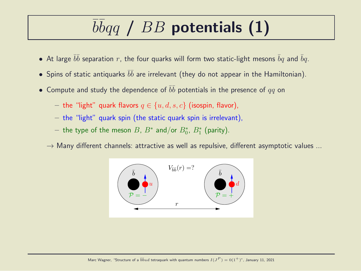# $b\bar{b}qq$  /  $BB$  potentials (1)

- $\bullet\,$  At large  $\bar b \bar b$  separation  $r$ , the four quarks will form two static-light mesons  $\bar b q$  and  $\bar b q.$
- $\bullet$  Spins of static antiquarks  $\bar b \bar b$  are irrelevant (they do not appear in the Hamiltonian).
- $\bullet\,$  Compute and study the dependence of  $\bar b \bar b$  potentials in the presence of  $qq$  on
	- the "light" quark flavors  $q \in \{u, d, s, c\}$  (isospin, flavor),
	- the "light" quark spin (the static quark spin is irrelevant),
	- $-$  the type of the meson  $B$ ,  $B^*$  and/or  $B^*_0$ ,  $B^*_1$  (parity).
	- $\rightarrow$  Many different channels: attractive as well as repulsive, different asymptotic values ...

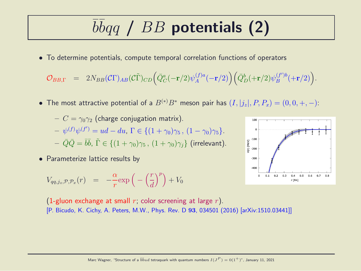# $b\bar{b}qq$  /  $BB$  potentials (2)

• To determine potentials, compute temporal correlation functions of operators

$$
\mathcal{O}_{BB,\Gamma} \quad = \quad 2N_{BB}(\mathcal{C}\Gamma)_{AB}(\mathcal{C}\tilde{\Gamma})_{CD} \Big( \bar{Q}_C^a(-\mathbf{r}/2) \psi^{(f)a}_A(-\mathbf{r}/2) \Big) \Big( \bar{Q}_D^b(+\mathbf{r}/2) \psi^{(f')b}_B(+\mathbf{r}/2) \Big).
$$

• The most attractive potential of a  $B^{(*)}B^*$  meson pair has  $(I, |j_z|, P, P_x) = (0, 0, +, -)$ :

$$
- C = \gamma_0 \gamma_2 \text{ (charge conjugation matrix)}.
$$
  
\n
$$
- \psi^{(f)} \psi^{(f')} = ud - du, \Gamma \in \{ (1 + \gamma_0) \gamma_5, (1 - \gamma_0) \gamma_5 \}.
$$
  
\n
$$
- \bar{Q} \bar{Q} = \bar{b} \bar{b}, \ \tilde{\Gamma} \in \{ (1 + \gamma_0) \gamma_5, (1 + \gamma_0) \gamma_j \} \text{ (irrelevant)}.
$$

• Parameterize lattice results by

$$
V_{qq,j_z,\mathcal{P},\mathcal{P}_x}(r) = -\frac{\alpha}{r} \exp\left(-\left(\frac{r}{d}\right)^p\right) + V_0
$$



(1-gluon exchange at small r; color screening at large r). [P. Bicudo, K. Cichy, A. Peters, M.W., Phys. Rev. D 93, 034501 (2016) [arXiv:1510.03441]]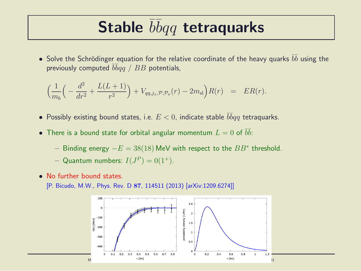### Stable  $\bar{b}\bar{b}qq$  tetraquarks

 $\bullet$  Solve the Schrödinger equation for the relative coordinate of the heavy quarks  $\bar b \bar b$  using the previously computed  $\bar b\bar b qq$  /  $BB$  potentials,

$$
\left(\frac{1}{m_b}\left(-\frac{d^2}{dr^2} + \frac{L(L+1)}{r^2}\right) + V_{qq,j_z,\mathcal{P},\mathcal{P}_x}(r) - 2m_{\rm sl}\right)R(r) = ER(r).
$$

- Possibly existing bound states, i.e.  $E < 0$ , indicate stable  $\overline{b} \overline{b} q q$  tetraquarks.
- $\bullet$  There is a bound state for orbital angular momentum  $L=0$  of  $\bar b \bar b$ :
	- − Binding energy  $-E = 38(18)$  MeV with respect to the  $BB^*$  threshold.
	- Quantum numbers:  $I(J^P) = 0(1^+).$
- No further bound states.
	- [P. Bicudo, M.W., Phys. Rev. D 87, 114511 (2013) [arXiv:1209.6274]]

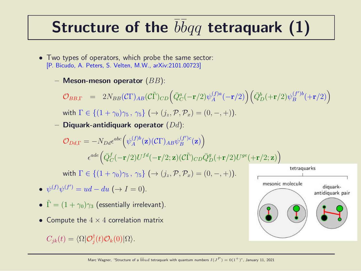## Structure of the  $\bar{b}\bar{b}qq$  tetraquark (1)

- Two types of operators, which probe the same sector: [P. Bicudo, A. Peters, S. Velten, M.W., arXiv:2101.00723]
	- Meson-meson operator  $(BB)$ :

 $\mathcal{O}_{BB,\Gamma}$  = 2 $N_{BB}(\mathcal{C}\Gamma)_{AB}(\mathcal{C}\tilde{\Gamma})_{CD} \Big(\bar{Q}^a_C(-{\bf r}/2)\psi^{(f)a}_A$  $\left(\begin{matrix} f)^a A \end{matrix}(-{\mathbf r}/2) \right) \left( \bar{Q}_D^b (+{\mathbf r}/2) \psi_B^{(f^\prime)b} \right)$  $\binom{(f')b}{B} (+r/2)$ with  $\Gamma \in \{(1+\gamma_0)\gamma_5, \gamma_5\} \, (\rightarrow (i_z, \mathcal{P}, \mathcal{P}_x) = (0, -, +))$ .

– Diquark-antidiquark operator  $(Dd)$ :

$$
\mathcal{O}_{Dd,\Gamma} = -N_{Dd}\epsilon^{abc} \Big(\psi_A^{(f)b}(\mathbf{z})(C\Gamma)_{AB}\psi_B^{(f')c}(\mathbf{z})\Big)
$$

$$
\epsilon^{ade} \Big(\bar{Q}_C^f(-\mathbf{r}/2)U^{fd}(-\mathbf{r}/2;\mathbf{z})(C\tilde{\Gamma})_{CD}\bar{Q}_D^g(+\mathbf{r}/2)U^{ge}(+\mathbf{r}/2;\mathbf{z})\Big)
$$

with  $\Gamma \in \{(1+\gamma_0)\gamma_5, \gamma_5\}$   $(\rightarrow (i_z, \mathcal{P}, \mathcal{P}_x) = (0, -, +))$ .

- $\psi^{(f)}\psi^{(f')} = ud du \ (\rightarrow I = 0).$
- $\tilde{\Gamma} = (1 + \gamma_0)\gamma_3$  (essentially irrelevant).
- Compute the  $4 \times 4$  correlation matrix

 $C_{jk}(t) = \langle \Omega | \mathcal{O}_j^{\dagger}$  $_{j}^{\intercal}(t)\mathcal{O}_{k}(0)|\Omega\rangle.$ 

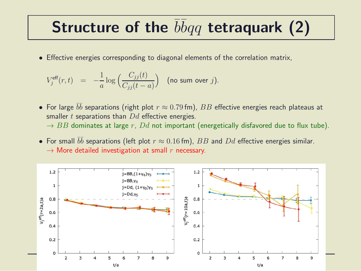### Structure of the  $\bar{b}\bar{b}qq$  tetraquark (2)

• Effective energies corresponding to diagonal elements of the correlation matrix,

$$
V_j^{\text{eff}}(r,t) = -\frac{1}{a} \log \Big( \frac{C_{jj}(t)}{C_{jj}(t-a)} \Big) \quad \text{(no sum over } j\text{)}.
$$

- $\bullet\,$  For large  $\bar b \bar b$  separations (right plot  $r\approx 0.79$  fm),  $BB$  effective energies reach plateaus at smaller  $t$  separations than  $Dd$  effective energies.  $\rightarrow$  BB dominates at large r, Dd not important (energetically disfavored due to flux tube).
- For small  $\bar{b}\bar{b}$  separations (left plot  $r \approx 0.16$  fm),  $BB$  and  $Dd$  effective energies similar.  $\rightarrow$  More detailed investigation at small r necessary.

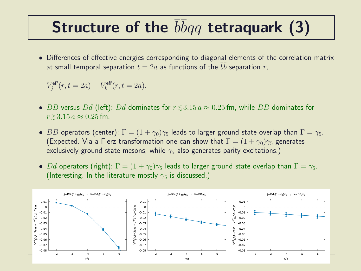### Structure of the  $\bar{b}\bar{b}qq$  tetraquark (3)

• Differences of effective energies corresponding to diagonal elements of the correlation matrix at small temporal separation  $t=2a$  as functions of the  $\bar{b}\bar{b}$  separation  $r,$ 

$$
V_j^{\text{eff}}(r, t = 2a) - V_k^{\text{eff}}(r, t = 2a).
$$

- $\bullet$   $BB$  versus  $Dd$  (left):  $Dd$  dominates for  $r\,{\lesssim}\,3.15\,a\approx 0.25\,{\rm fm},$  while  $BB$  dominates for  $r \gtrsim 3.15 a \approx 0.25$  fm.
- BB operators (center):  $\Gamma = (1 + \gamma_0)\gamma_5$  leads to larger ground state overlap than  $\Gamma = \gamma_5$ . (Expected. Via a Fierz transformation one can show that  $\Gamma = (1 + \gamma_0)\gamma_5$  generates exclusively ground state mesons, while  $\gamma_5$  also generates parity excitations.)
- Dd operators (right):  $\Gamma = (1 + \gamma_0)\gamma_5$  leads to larger ground state overlap than  $\Gamma = \gamma_5$ . (Interesting. In the literature mostly  $\gamma_5$  is discussed.)

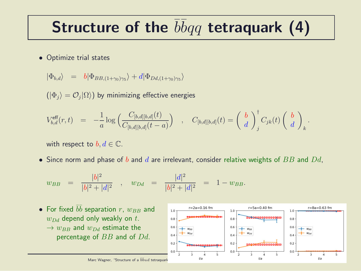## Structure of the  $\bar{b}\bar{b}qq$  tetraquark (4)

• Optimize trial states

$$
|\Phi_{b,d}\rangle = b|\Phi_{BB,(1+\gamma_0)\gamma_5}\rangle + d|\Phi_{Dd,(1+\gamma_0)\gamma_5}\rangle
$$

 $(|\Phi_j\rangle=\mathcal{O}_j|\Omega\rangle)$  by minimizing effective energies

$$
V_{b,d}^{\text{eff}}(r,t) = -\frac{1}{a} \log \left( \frac{C_{[b,d][b,d]}(t)}{C_{[b,d][b,d]}(t-a)} \right) , C_{[b,d][b,d]}(t) = \left( \begin{array}{c} b \\ d \end{array} \right)_{j}^{\dagger} C_{jk}(t) \left( \begin{array}{c} b \\ d \end{array} \right)_{k}.
$$

with respect to  $b, d \in \mathbb{C}$ .

• Since norm and phase of  $b$  and  $d$  are irrelevant, consider relative weights of  $BB$  and  $Dd$ ,

$$
w_{BB} = \frac{|b|^2}{|b|^2 + |d|^2}
$$
,  $w_{Dd} = \frac{|d|^2}{|b|^2 + |d|^2} = 1 - w_{BB}$ .

• For fixed ¯b ¯b separation r, wBB and wDd depend only weakly on t. → wBB and wDd estimate the percentage of BB and of Dd. <sup>P</sup> ) = 0(1+)", January 11, 2021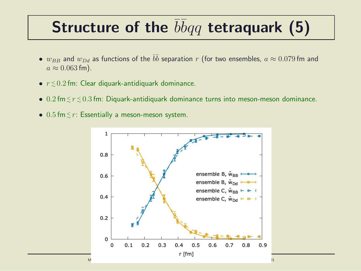## Structure of the  $\bar{b} \bar{b} q q$  tetraquark (5)

- $\bullet$   $w_{BB}$  and  $w_{Dd}$  as functions of the  $\bar{b}\bar{b}$  separation  $r$  (for two ensembles,  $a \approx 0.079$  fm and  $a \approx 0.063$  fm).
- $\bullet$   $r \lesssim 0.2$  fm: Clear diquark-antidiquark dominance.
- $\bullet$  0.2 fm $\lesssim$   $r$   $\lesssim$  0.3 fm: Diquark-antidiquark dominance turns into meson-meson dominance.
- $0.5$  fm $\lesssim r$ : Essentially a meson-meson system.

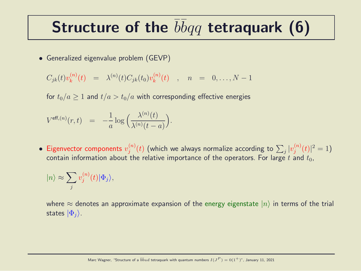### Structure of the  $\bar{b}\bar{b}qq$  tetraquark (6)

• Generalized eigenvalue problem (GEVP)

$$
C_{jk}(t)v_k^{(n)}(t) = \lambda^{(n)}(t)C_{jk}(t_0)v_k^{(n)}(t) , n = 0,..., N-1
$$

for  $t_0/a \ge 1$  and  $t/a > t_0/a$  with corresponding effective energies

$$
V^{\text{eff},(n)}(r,t) = -\frac{1}{a}\log\Big(\frac{\lambda^{(n)}(t)}{\lambda^{(n)}(t-a)}\Big).
$$

• Eigenvector components  $v_j^{(n)}$  $\psi_j^{(n)}(t)$  (which we always normalize according to  $\sum_j |v_j^{(n)}|$  $j^{(n)}(t)|^2=1$ contain information about the relative importance of the operators. For large t and  $t_0$ ,

$$
|n\rangle \approx \sum_{j} v_{j}^{(n)}(t) |\Phi_{j}\rangle,
$$

where  $\approx$  denotes an approximate expansion of the energy eigenstate  $|n\rangle$  in terms of the trial states  $|\Phi_i\rangle$ .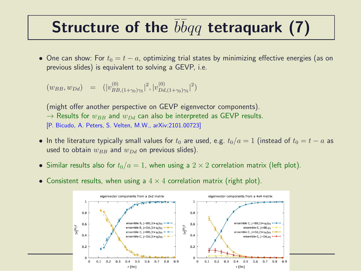### Structure of the  $b\bar{b}qq$  tetraquark (7)

• One can show: For  $t_0 = t - a$ , optimizing trial states by minimizing effective energies (as on previous slides) is equivalent to solving a GEVP, i.e.

$$
(w_{BB}, w_{Dd}) = (|v_{BB,(1+\gamma_0)\gamma_5}^{(0)}|^2, |v_{DA,(1+\gamma_0)\gamma_5}^{(0)}|^2)
$$

(might offer another perspective on GEVP eigenvector components).  $\rightarrow$  Results for  $w_{BB}$  and  $w_{DA}$  can also be interpreted as GEVP results. [P. Bicudo, A. Peters, S. Velten, M.W., arXiv:2101.00723]

- In the literature typically small values for  $t_0$  are used, e.g.  $t_0/a = 1$  (instead of  $t_0 = t a$  as used to obtain  $w_{BB}$  and  $w_{Dd}$  on previous slides).
- Similar results also for  $t_0/a = 1$ , when using a  $2 \times 2$  correlation matrix (left plot).
- Consistent results, when using a  $4 \times 4$  correlation matrix (right plot).

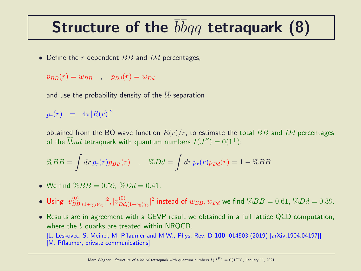## Structure of the  $\bar{b}\bar{b}qq$  tetraquark (8)

• Define the  $r$  dependent  $BB$  and  $Dd$  percentages,

$$
p_{BB}(r) = w_{BB} \quad , \quad p_{Dd}(r) = w_{Dd}
$$

and use the probability density of the  $\bar b \bar b$  separation

 $p_r(r)$  =  $4\pi |R(r)|^2$ 

obtained from the BO wave function  $R(r)/r$ , to estimate the total BB and Dd percentages of the  $\overline{bb}ud$  tetraquark with quantum numbers  $I(J^P)=0(1^+)$ :

$$
\%BB = \int dr \, p_r(r) p_{BB}(r) \quad , \quad \%Dd = \int dr \, p_r(r) p_{Dd}(r) = 1 - \%BB.
$$

- We find  $\%BB = 0.59$ ,  $\%Dd = 0.41$ .
- Using  $|v_{BF}^{(0)}|$  $\binom{0}{BB,(1+\gamma_0)\gamma_5}^2$ ,  $|v_{Dd}^{(0)}|$  $\int_{Dd,(1+\gamma_0)\gamma_5}^{(0)}|^2$  instead of  $w_{BB},w_{Dd}$  we find  $\%BB = 0.61,\,\%Dd = 0.39.5$
- Results are in agreement with a GEVP result we obtained in a full lattice QCD computation, where the  $b$  quarks are treated within NRQCD. [L. Leskovec, S. Meinel, M. Pflaumer and M.W., Phys. Rev. D 100, 014503 (2019) [arXiv:1904.04197]] [M. Pflaumer, private communications]